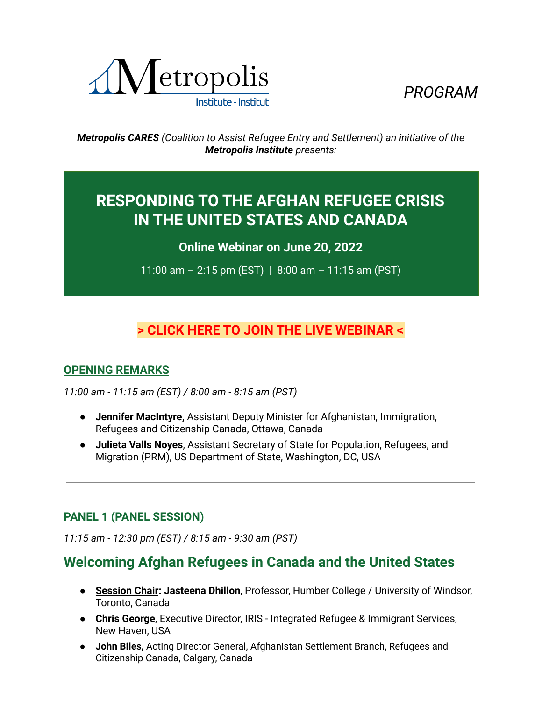



*Metropolis CARES (Coalition to Assist Refugee Entry and Settlement) an initiative of the Metropolis Institute presents:*

# **RESPONDING TO THE AFGHAN REFUGEE CRISIS IN THE UNITED STATES AND CANADA**

**Online Webinar on June 20, 2022**

11:00 am – 2:15 pm (EST) | 8:00 am – 11:15 am (PST)

# **[> CLICK HERE TO JOIN THE LIVE WEBINAR <](https://us06web.zoom.us/j/89071260085)**

### **OPENING REMARKS**

*11:00 am - 11:15 am (EST) / 8:00 am - 8:15 am (PST)*

- **Jennifer MacIntyre,** Assistant Deputy Minister for Afghanistan, Immigration, Refugees and Citizenship Canada, Ottawa, Canada
- **Julieta Valls Noyes**, Assistant Secretary of State for Population, Refugees, and Migration (PRM), US Department of State, Washington, DC, USA

### **PANEL 1 (PANEL SESSION)**

*11:15 am - 12:30 pm (EST) / 8:15 am - 9:30 am (PST)*

# **Welcoming Afghan Refugees in Canada and the United States**

- **Session Chair: Jasteena Dhillon**, Professor, Humber College / University of Windsor, Toronto, Canada
- **Chris George**, Executive Director, IRIS Integrated Refugee & Immigrant Services, New Haven, USA
- **John Biles,** Acting Director General, Afghanistan Settlement Branch, Refugees and Citizenship Canada, Calgary, Canada